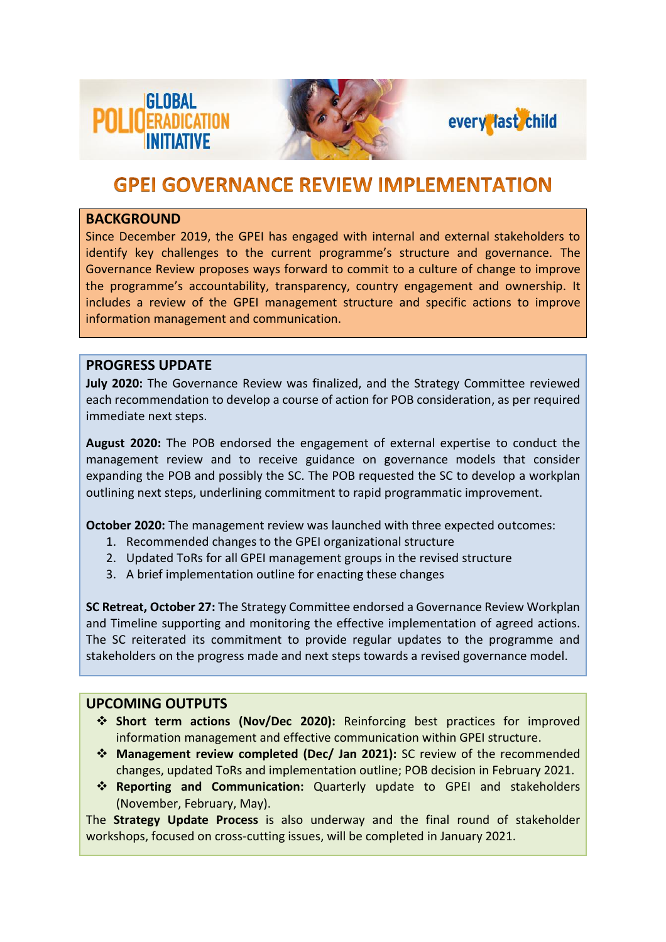





## **GPEI GOVERNANCE REVIEW IMPLEMENTATION**

#### **BACKGROUND**

Since December 2019, the GPEI has engaged with internal and external stakeholders to identify key challenges to the current programme's structure and governance. The Governance Review proposes ways forward to commit to a culture of change to improve the programme's accountability, transparency, country engagement and ownership. It includes a review of the GPEI management structure and specific actions to improve information management and communication.

#### **PROGRESS UPDATE**

**July 2020:** The Governance Review was finalized, and the Strategy Committee reviewed each recommendation to develop a course of action for POB consideration, as per required immediate next steps.

**August 2020:** The POB endorsed the engagement of external expertise to conduct the management review and to receive guidance on governance models that consider expanding the POB and possibly the SC. The POB requested the SC to develop a workplan outlining next steps, underlining commitment to rapid programmatic improvement.

**October 2020:** The management review was launched with three expected outcomes:

- 1. Recommended changes to the GPEI organizational structure
- 2. Updated ToRs for all GPEI management groups in the revised structure
- 3. A brief implementation outline for enacting these changes

**SC Retreat, October 27:** The Strategy Committee endorsed a Governance Review Workplan and Timeline supporting and monitoring the effective implementation of agreed actions. The SC reiterated its commitment to provide regular updates to the programme and stakeholders on the progress made and next steps towards a revised governance model.

### **UPCOMING OUTPUTS**

- ❖ **Short term actions (Nov/Dec 2020):** Reinforcing best practices for improved information management and effective communication within GPEI structure.
- ❖ **Management review completed (Dec/ Jan 2021):** SC review of the recommended changes, updated ToRs and implementation outline; POB decision in February 2021.
- ❖ **Reporting and Communication:** Quarterly update to GPEI and stakeholders (November, February, May).

The **Strategy Update Process** is also underway and the final round of stakeholder workshops, focused on cross-cutting issues, will be completed in January 2021.